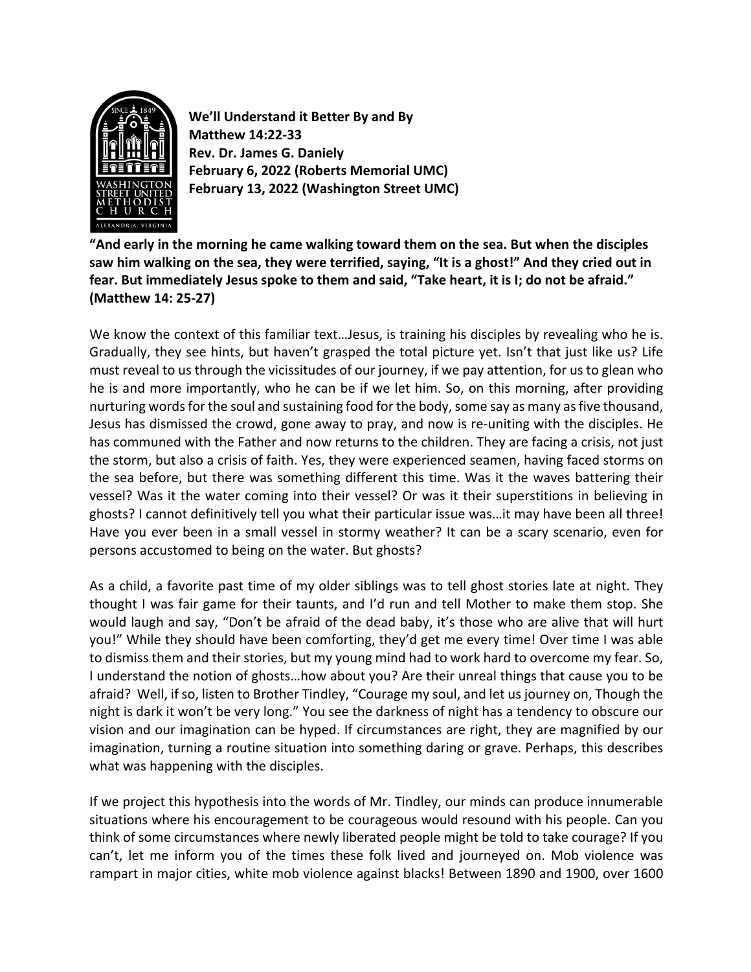

**We'll Understand it Better By and By Matthew 14:22-33 Rev. Dr. James G. Daniely February 6, 2022 (Roberts Memorial UMC) February 13, 2022 (Washington Street UMC)**

**"And early in the morning he came walking toward them on the sea. But when the disciples saw him walking on the sea, they were terrified, saying, "It is a ghost!" And they cried out in fear. But immediately Jesus spoke to them and said, "Take heart, it is I; do not be afraid." (Matthew 14: 25-27)**

We know the context of this familiar text…Jesus, is training his disciples by revealing who he is. Gradually, they see hints, but haven't grasped the total picture yet. Isn't that just like us? Life must reveal to us through the vicissitudes of our journey, if we pay attention, for us to glean who he is and more importantly, who he can be if we let him. So, on this morning, after providing nurturing words for the soul and sustaining food for the body, some say as many as five thousand, Jesus has dismissed the crowd, gone away to pray, and now is re-uniting with the disciples. He has communed with the Father and now returns to the children. They are facing a crisis, not just the storm, but also a crisis of faith. Yes, they were experienced seamen, having faced storms on the sea before, but there was something different this time. Was it the waves battering their vessel? Was it the water coming into their vessel? Or was it their superstitions in believing in ghosts? I cannot definitively tell you what their particular issue was…it may have been all three! Have you ever been in a small vessel in stormy weather? It can be a scary scenario, even for persons accustomed to being on the water. But ghosts?

As a child, a favorite past time of my older siblings was to tell ghost stories late at night. They thought I was fair game for their taunts, and I'd run and tell Mother to make them stop. She would laugh and say, "Don't be afraid of the dead baby, it's those who are alive that will hurt you!" While they should have been comforting, they'd get me every time! Over time I was able to dismiss them and their stories, but my young mind had to work hard to overcome my fear. So, I understand the notion of ghosts…how about you? Are their unreal things that cause you to be afraid? Well, if so, listen to Brother Tindley, "Courage my soul, and let us journey on, Though the night is dark it won't be very long." You see the darkness of night has a tendency to obscure our vision and our imagination can be hyped. If circumstances are right, they are magnified by our imagination, turning a routine situation into something daring or grave. Perhaps, this describes what was happening with the disciples.

If we project this hypothesis into the words of Mr. Tindley, our minds can produce innumerable situations where his encouragement to be courageous would resound with his people. Can you think of some circumstances where newly liberated people might be told to take courage? If you can't, let me inform you of the times these folk lived and journeyed on. Mob violence was rampart in major cities, white mob violence against blacks! Between 1890 and 1900, over 1600